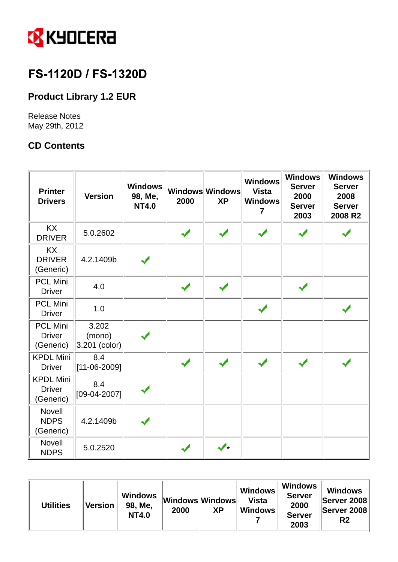

# FS-1120D / FS-1320D

## **Product Library 1.2 EUR**

Release Notes May 29th, 2012

## **CD Contents**

| <b>Printer</b><br><b>Drivers</b>               | <b>Version</b>                   | <b>Windows</b><br>98, Me,<br><b>NT4.0</b> | 2000 | Windows Windows<br><b>XP</b> | <b>Windows</b><br><b>Vista</b><br><b>Windows</b><br>7 | <b>Windows</b><br><b>Server</b><br>2000<br><b>Server</b><br>2003 | <b>Windows</b><br><b>Server</b><br>2008<br><b>Server</b><br>2008 R2 |
|------------------------------------------------|----------------------------------|-------------------------------------------|------|------------------------------|-------------------------------------------------------|------------------------------------------------------------------|---------------------------------------------------------------------|
| <b>KX</b><br><b>DRIVER</b>                     | 5.0.2602                         |                                           |      |                              |                                                       |                                                                  |                                                                     |
| <b>KX</b><br><b>DRIVER</b><br>(Generic)        | 4.2.1409b                        |                                           |      |                              |                                                       |                                                                  |                                                                     |
| <b>PCL Mini</b><br><b>Driver</b>               | 4.0                              |                                           |      |                              |                                                       |                                                                  |                                                                     |
| <b>PCL Mini</b><br><b>Driver</b>               | 1.0                              |                                           |      |                              | ✔                                                     |                                                                  |                                                                     |
| <b>PCL Mini</b><br><b>Driver</b><br>(Generic)  | 3.202<br>(mono)<br>3.201 (color) |                                           |      |                              |                                                       |                                                                  |                                                                     |
| <b>KPDL Mini</b><br><b>Driver</b>              | 8.4<br>$[11 - 06 - 2009]$        |                                           |      |                              |                                                       |                                                                  |                                                                     |
| <b>KPDL Mini</b><br><b>Driver</b><br>(Generic) | 8.4<br>$[09-04-2007]$            |                                           |      |                              |                                                       |                                                                  |                                                                     |
| Novell<br><b>NDPS</b><br>(Generic)             | 4.2.1409b                        |                                           |      |                              |                                                       |                                                                  |                                                                     |
| <b>Novell</b><br><b>NDPS</b>                   | 5.0.2520                         |                                           |      |                              |                                                       |                                                                  |                                                                     |

| <b>Utilities</b> | <b>Version</b> | <b>Windows</b><br>98, Me.<br><b>NT4.0</b> | Windows Windows<br>2000 | <b>XP</b> | <b>Windows</b><br>Vista<br><b>Windows</b> | <b>Windows</b><br><b>Server</b><br>2000<br><b>Server</b><br>2003 | <b>Windows</b><br><b>Server 2008</b><br>Server 2008<br>R2 |
|------------------|----------------|-------------------------------------------|-------------------------|-----------|-------------------------------------------|------------------------------------------------------------------|-----------------------------------------------------------|
|------------------|----------------|-------------------------------------------|-------------------------|-----------|-------------------------------------------|------------------------------------------------------------------|-----------------------------------------------------------|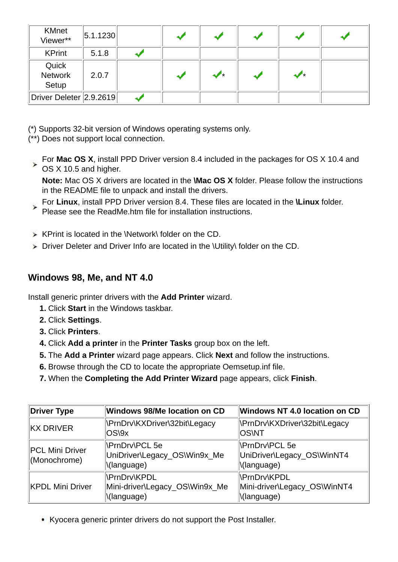| <b>KMnet</b><br>Viewer**               | 5.1.1230 |  |   |   |  |
|----------------------------------------|----------|--|---|---|--|
| <b>KPrint</b>                          | 5.1.8    |  |   |   |  |
| Quick<br>Network<br>Setup              | 2.0.7    |  | ✔ | ≁ |  |
| $\ $ Driver Deleter $\ $ 2.9.2619 $\ $ |          |  |   |   |  |

- (\*) Supports 32-bit version of Windows operating systems only.
- (\*\*) Does not support local connection.
- For **Mac OS X**, install PPD Driver version 8.4 included in the packages for OS X 10.4 and For **Mac**  $\sim$  ...  $\sim$  **OS X 10.5 and higher.**

**Note:** Mac OS X drivers are located in the **\Mac OS X** folder. Please follow the instructions in the README file to unpack and install the drivers.

- For **Linux**, install PPD Driver version 8.4. These files are located in the **\Linux** folder.  $\checkmark$ Please see the ReadMe.htm file for installation instructions.
- $\triangleright$  KPrint is located in the \Network\ folder on the CD.
- ▶ Driver Deleter and Driver Info are located in the \Utility\ folder on the CD.

## **Windows 98, Me, and NT 4.0**

Install generic printer drivers with the **Add Printer** wizard.

- **1.** Click **Start** in the Windows taskbar.
- **2.** Click **Settings**.
- **3.** Click **Printers**.
- **4.** Click **Add a printer** in the **Printer Tasks** group box on the left.
- **5.** The **Add a Printer** wizard page appears. Click **Next** and follow the instructions.
- **6.** Browse through the CD to locate the appropriate Oemsetup.inf file.
- **7.** When the **Completing the Add Printer Wizard** page appears, click **Finish**.

| Driver Type                     | Windows 98/Me location on CD                                         | <b>Windows NT 4.0 location on CD</b>                               |  |  |
|---------------------------------|----------------------------------------------------------------------|--------------------------------------------------------------------|--|--|
| KX DRIVER                       | NPrnDrv\KXDriver\32bit\Legacy<br>$OS\$                               | \PrnDrv\KXDriver\32bit\Legacy<br><b>OSWT</b>                       |  |  |
| PCL Mini Driver<br>(Monochrome) | NPrnDrv\PCL 5e<br>UniDriver\Legacy_OS\Win9x_Me<br>\(language)        | <b>NPrnDrvNPCL 5e</b><br>UniDriver\Legacy_OS\WinNT4<br>\(language) |  |  |
| KPDL Mini Driver                | <b>NPrnDrv\KPDL</b><br>Mini-driver\Legacy_OS\Win9x_Me<br>\(language) | \PrnDrv\KPDL<br>Mini-driver\Legacy_OS\WinNT4<br>\(language)        |  |  |

Kyocera generic printer drivers do not support the Post Installer.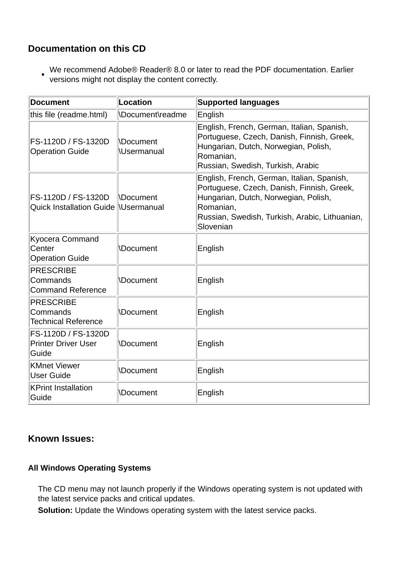## **Documentation on this CD**

We recommend Adobe® Reader® 8.0 or later to read the PDF documentation. Earlier versions might not display the content correctly.

| <b>Document</b>                                              | Location                              | <b>Supported languages</b>                                                                                                                                                                                   |
|--------------------------------------------------------------|---------------------------------------|--------------------------------------------------------------------------------------------------------------------------------------------------------------------------------------------------------------|
| this file (readme.html)                                      | \Document\readme                      | English                                                                                                                                                                                                      |
| FS-1120D / FS-1320D<br><b>Operation Guide</b>                | <b>Nocument</b><br><b>\Usermanual</b> | English, French, German, Italian, Spanish,<br>Portuguese, Czech, Danish, Finnish, Greek,<br>Hungarian, Dutch, Norwegian, Polish,<br>Romanian,<br>Russian, Swedish, Turkish, Arabic                           |
| FS-1120D / FS-1320D<br>Quick Installation Guide  \Usermanual | <b>Nocument</b>                       | English, French, German, Italian, Spanish,<br>Portuguese, Czech, Danish, Finnish, Greek,<br>Hungarian, Dutch, Norwegian, Polish,<br>Romanian,<br>Russian, Swedish, Turkish, Arabic, Lithuanian,<br>Slovenian |
| Kyocera Command<br>Center<br><b>Operation Guide</b>          | <b>Document</b>                       | English                                                                                                                                                                                                      |
| <b>PRESCRIBE</b><br>Commands<br><b>Command Reference</b>     | <b>\Document</b>                      | English                                                                                                                                                                                                      |
| <b>PRESCRIBE</b><br>Commands<br><b>Technical Reference</b>   | <b>\Document</b>                      | English                                                                                                                                                                                                      |
| FS-1120D / FS-1320D<br><b>Printer Driver User</b><br>Guide   | <b>\Document</b>                      | English                                                                                                                                                                                                      |
| <b>KMnet Viewer</b><br><b>User Guide</b>                     | <b>\Document</b>                      | English                                                                                                                                                                                                      |
| <b>KPrint Installation</b><br>Guide                          | <b>\Document</b>                      | English                                                                                                                                                                                                      |

### **Known Issues:**

#### **All Windows Operating Systems**

 The CD menu may not launch properly if the Windows operating system is not updated with the latest service packs and critical updates.

**Solution:** Update the Windows operating system with the latest service packs.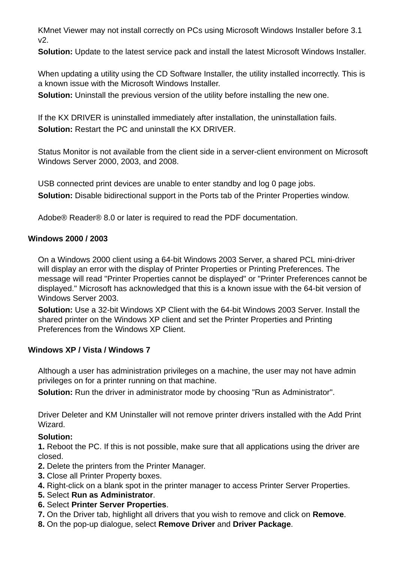KMnet Viewer may not install correctly on PCs using Microsoft Windows Installer before 3.1 v2.

**Solution:** Update to the latest service pack and install the latest Microsoft Windows Installer.

When updating a utility using the CD Software Installer, the utility installed incorrectly. This is a known issue with the Microsoft Windows Installer.

**Solution:** Uninstall the previous version of the utility before installing the new one.

 If the KX DRIVER is uninstalled immediately after installation, the uninstallation fails. **Solution:** Restart the PC and uninstall the KX DRIVER.

 Status Monitor is not available from the client side in a server-client environment on Microsoft Windows Server 2000, 2003, and 2008.

 USB connected print devices are unable to enter standby and log 0 page jobs. **Solution:** Disable bidirectional support in the Ports tab of the Printer Properties window.

Adobe® Reader® 8.0 or later is required to read the PDF documentation.

#### **Windows 2000 / 2003**

On a Windows 2000 client using a 64-bit Windows 2003 Server, a shared PCL mini-driver will display an error with the display of Printer Properties or Printing Preferences. The message will read "Printer Properties cannot be displayed" or "Printer Preferences cannot be displayed." Microsoft has acknowledged that this is a known issue with the 64-bit version of Windows Server 2003.

**Solution:** Use a 32-bit Windows XP Client with the 64-bit Windows 2003 Server. Install the shared printer on the Windows XP client and set the Printer Properties and Printing Preferences from the Windows XP Client.

#### **Windows XP / Vista / Windows 7**

 Although a user has administration privileges on a machine, the user may not have admin privileges on for a printer running on that machine.

**Solution:** Run the driver in administrator mode by choosing "Run as Administrator".

 Driver Deleter and KM Uninstaller will not remove printer drivers installed with the Add Print Wizard.

#### **Solution:**

**1.** Reboot the PC. If this is not possible, make sure that all applications using the driver are closed.

- **2.** Delete the printers from the Printer Manager.
- **3.** Close all Printer Property boxes.
- **4.** Right-click on a blank spot in the printer manager to access Printer Server Properties.
- **5.** Select **Run as Administrator**.
- **6.** Select **Printer Server Properties**.
- **7.** On the Driver tab, highlight all drivers that you wish to remove and click on **Remove**.
- **8.** On the pop-up dialogue, select **Remove Driver** and **Driver Package**.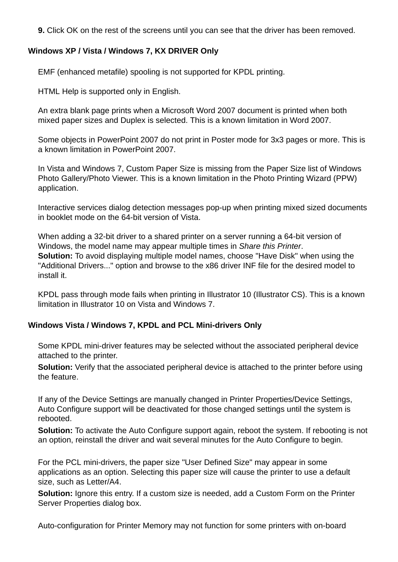**9.** Click OK on the rest of the screens until you can see that the driver has been removed.

#### **Windows XP / Vista / Windows 7, KX DRIVER Only**

EMF (enhanced metafile) spooling is not supported for KPDL printing.

HTML Help is supported only in English.

An extra blank page prints when a Microsoft Word 2007 document is printed when both mixed paper sizes and Duplex is selected. This is a known limitation in Word 2007.

Some objects in PowerPoint 2007 do not print in Poster mode for 3x3 pages or more. This is a known limitation in PowerPoint 2007.

In Vista and Windows 7, Custom Paper Size is missing from the Paper Size list of Windows Photo Gallery/Photo Viewer. This is a known limitation in the Photo Printing Wizard (PPW) application.

Interactive services dialog detection messages pop-up when printing mixed sized documents in booklet mode on the 64-bit version of Vista.

When adding a 32-bit driver to a shared printer on a server running a 64-bit version of Windows, the model name may appear multiple times in *Share this Printer*. **Solution:** To avoid displaying multiple model names, choose "Have Disk" when using the "Additional Drivers..." option and browse to the x86 driver INF file for the desired model to install it.

KPDL pass through mode fails when printing in Illustrator 10 (Illustrator CS). This is a known limitation in Illustrator 10 on Vista and Windows 7.

#### **Windows Vista / Windows 7, KPDL and PCL Mini-drivers Only**

 Some KPDL mini-driver features may be selected without the associated peripheral device attached to the printer.

 **Solution:** Verify that the associated peripheral device is attached to the printer before using the feature.

If any of the Device Settings are manually changed in Printer Properties/Device Settings, Auto Configure support will be deactivated for those changed settings until the system is rebooted.

**Solution:** To activate the Auto Configure support again, reboot the system. If rebooting is not an option, reinstall the driver and wait several minutes for the Auto Configure to begin.

For the PCL mini-drivers, the paper size "User Defined Size" may appear in some applications as an option. Selecting this paper size will cause the printer to use a default size, such as Letter/A4.

 **Solution:** Ignore this entry. If a custom size is needed, add a Custom Form on the Printer Server Properties dialog box.

Auto-configuration for Printer Memory may not function for some printers with on-board